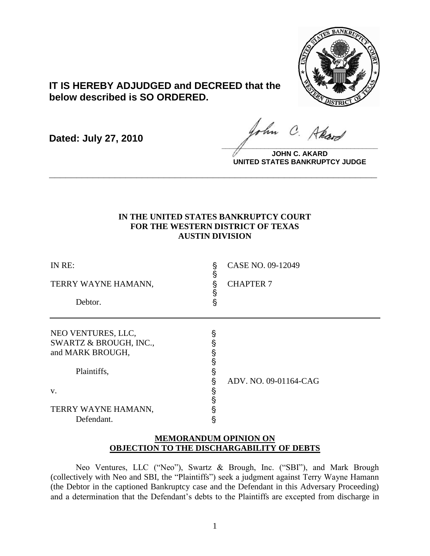

# **IT IS HEREBY ADJUDGED and DECREED that the below described is SO ORDERED.**

**Dated: July 27, 2010**

ohn C. Akard **\_\_\_\_\_\_\_\_\_\_\_\_\_\_\_\_\_\_\_\_\_\_\_\_\_\_\_\_\_\_\_\_\_\_\_\_\_\_\_\_**

**JOHN C. AKARD UNITED STATES BANKRUPTCY JUDGE**

## **IN THE UNITED STATES BANKRUPTCY COURT FOR THE WESTERN DISTRICT OF TEXAS AUSTIN DIVISION**

**\_\_\_\_\_\_\_\_\_\_\_\_\_\_\_\_\_\_\_\_\_\_\_\_\_\_\_\_\_\_\_\_\_\_\_\_\_\_\_\_\_\_\_\_\_\_\_\_\_\_\_\_\_\_\_\_\_\_\_\_**

| IN RE:<br>TERRY WAYNE HAMANN,<br>Debtor.                                        | §<br>§<br>§<br>§<br>$\S$ | CASE NO. 09-12049<br><b>CHAPTER 7</b> |
|---------------------------------------------------------------------------------|--------------------------|---------------------------------------|
| NEO VENTURES, LLC,<br>SWARTZ & BROUGH, INC.,<br>and MARK BROUGH,<br>Plaintiffs, | §<br>Ş<br>§<br>§<br>Ş    | ADV. NO. 09-01164-CAG                 |
| V.<br>TERRY WAYNE HAMANN,<br>Defendant.                                         | §<br>§<br>§<br>Ş<br>§    |                                       |

## **MEMORANDUM OPINION ON OBJECTION TO THE DISCHARGABILITY OF DEBTS**

Neo Ventures, LLC ("Neo"), Swartz & Brough, Inc. ("SBI"), and Mark Brough (collectively with Neo and SBI, the "Plaintiffs") seek a judgment against Terry Wayne Hamann (the Debtor in the captioned Bankruptcy case and the Defendant in this Adversary Proceeding) and a determination that the Defendant's debts to the Plaintiffs are excepted from discharge in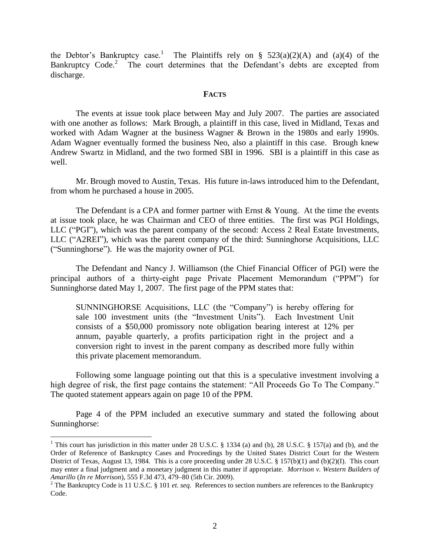the Debtor's Bankruptcy case.<sup>1</sup> The Plaintiffs rely on § 523(a)(2)(A) and (a)(4) of the Bankruptcy Code.<sup>2</sup> The court determines that the Defendant's debts are excepted from discharge.

#### **FACTS**

The events at issue took place between May and July 2007. The parties are associated with one another as follows: Mark Brough, a plaintiff in this case, lived in Midland, Texas and worked with Adam Wagner at the business Wagner & Brown in the 1980s and early 1990s. Adam Wagner eventually formed the business Neo, also a plaintiff in this case. Brough knew Andrew Swartz in Midland, and the two formed SBI in 1996. SBI is a plaintiff in this case as well.

Mr. Brough moved to Austin, Texas. His future in-laws introduced him to the Defendant, from whom he purchased a house in 2005.

The Defendant is a CPA and former partner with Ernst & Young. At the time the events at issue took place, he was Chairman and CEO of three entities. The first was PGI Holdings, LLC ("PGI"), which was the parent company of the second: Access 2 Real Estate Investments, LLC ("A2REI"), which was the parent company of the third: Sunninghorse Acquisitions, LLC ("Sunninghorse"). He was the majority owner of PGI.

The Defendant and Nancy J. Williamson (the Chief Financial Officer of PGI) were the principal authors of a thirty-eight page Private Placement Memorandum ("PPM") for Sunninghorse dated May 1, 2007. The first page of the PPM states that:

SUNNINGHORSE Acquisitions, LLC (the "Company") is hereby offering for sale 100 investment units (the "Investment Units"). Each Investment Unit consists of a \$50,000 promissory note obligation bearing interest at 12% per annum, payable quarterly, a profits participation right in the project and a conversion right to invest in the parent company as described more fully within this private placement memorandum.

Following some language pointing out that this is a speculative investment involving a high degree of risk, the first page contains the statement: "All Proceeds Go To The Company." The quoted statement appears again on page 10 of the PPM.

Page 4 of the PPM included an executive summary and stated the following about Sunninghorse:

 $\overline{a}$ 

<sup>&</sup>lt;sup>1</sup> This court has jurisdiction in this matter under 28 U.S.C. § 1334 (a) and (b), 28 U.S.C. § 157(a) and (b), and the Order of Reference of Bankruptcy Cases and Proceedings by the United States District Court for the Western District of Texas, August 13, 1984. This is a core proceeding under 28 U.S.C. § 157(b)(1) and (b)(2)(I). This court may enter a final judgment and a monetary judgment in this matter if appropriate. *Morrison v. Western Builders of Amarillo* (*In re Morrison*), 555 F.3d 473, 479–80 (5th Cir. 2009).

<sup>&</sup>lt;sup>2</sup> The Bankruptcy Code is 11 U.S.C. § 101 *et. seq.* References to section numbers are references to the Bankruptcy Code.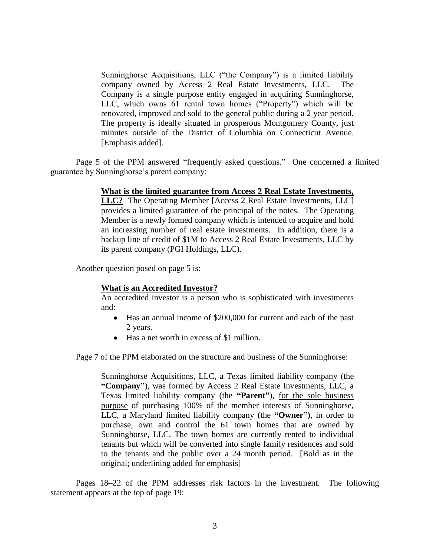Sunninghorse Acquisitions, LLC ("the Company") is a limited liability company owned by Access 2 Real Estate Investments, LLC. The Company is a single purpose entity engaged in acquiring Sunninghorse, LLC, which owns 61 rental town homes ("Property") which will be renovated, improved and sold to the general public during a 2 year period. The property is ideally situated in prosperous Montgomery County, just minutes outside of the District of Columbia on Connecticut Avenue. [Emphasis added].

Page 5 of the PPM answered "frequently asked questions." One concerned a limited guarantee by Sunninghorse's parent company:

### **What is the limited guarantee from Access 2 Real Estate Investments,**

**LLC?** The Operating Member [Access 2 Real Estate Investments, LLC] provides a limited guarantee of the principal of the notes. The Operating Member is a newly formed company which is intended to acquire and hold an increasing number of real estate investments. In addition, there is a backup line of credit of \$1M to Access 2 Real Estate Investments, LLC by its parent company (PGI Holdings, LLC).

Another question posed on page 5 is:

### **What is an Accredited Investor?**

An accredited investor is a person who is sophisticated with investments and:

- Has an annual income of \$200,000 for current and each of the past 2 years.
- Has a net worth in excess of \$1 million.

Page 7 of the PPM elaborated on the structure and business of the Sunninghorse:

Sunninghorse Acquisitions, LLC, a Texas limited liability company (the **"Company"**), was formed by Access 2 Real Estate Investments, LLC, a Texas limited liability company (the **"Parent"**), for the sole business purpose of purchasing 100% of the member interests of Sunninghorse, LLC, a Maryland limited liability company (the **"Owner")**, in order to purchase, own and control the 61 town homes that are owned by Sunninghorse, LLC. The town homes are currently rented to individual tenants but which will be converted into single family residences and sold to the tenants and the public over a 24 month period. [Bold as in the original; underlining added for emphasis]

Pages 18–22 of the PPM addresses risk factors in the investment. The following statement appears at the top of page 19: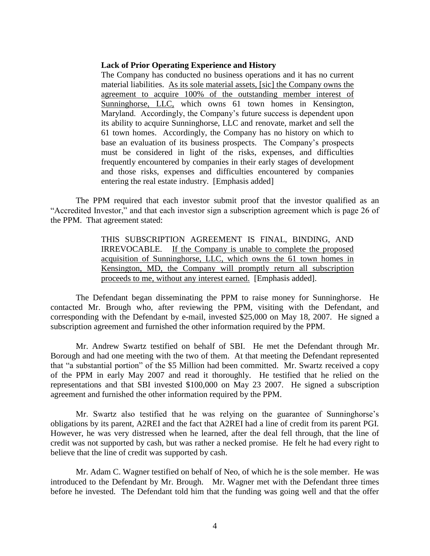#### **Lack of Prior Operating Experience and History**

The Company has conducted no business operations and it has no current material liabilities. As its sole material assets, [sic] the Company owns the agreement to acquire 100% of the outstanding member interest of Sunninghorse, LLC, which owns 61 town homes in Kensington, Maryland. Accordingly, the Company's future success is dependent upon its ability to acquire Sunninghorse, LLC and renovate, market and sell the 61 town homes. Accordingly, the Company has no history on which to base an evaluation of its business prospects. The Company's prospects must be considered in light of the risks, expenses, and difficulties frequently encountered by companies in their early stages of development and those risks, expenses and difficulties encountered by companies entering the real estate industry. [Emphasis added]

The PPM required that each investor submit proof that the investor qualified as an "Accredited Investor," and that each investor sign a subscription agreement which is page 26 of the PPM. That agreement stated:

> THIS SUBSCRIPTION AGREEMENT IS FINAL, BINDING, AND IRREVOCABLE. If the Company is unable to complete the proposed acquisition of Sunninghorse, LLC, which owns the 61 town homes in Kensington, MD, the Company will promptly return all subscription proceeds to me, without any interest earned. [Emphasis added].

The Defendant began disseminating the PPM to raise money for Sunninghorse. He contacted Mr. Brough who, after reviewing the PPM, visiting with the Defendant, and corresponding with the Defendant by e-mail, invested \$25,000 on May 18, 2007. He signed a subscription agreement and furnished the other information required by the PPM.

Mr. Andrew Swartz testified on behalf of SBI. He met the Defendant through Mr. Borough and had one meeting with the two of them. At that meeting the Defendant represented that "a substantial portion" of the \$5 Million had been committed. Mr. Swartz received a copy of the PPM in early May 2007 and read it thoroughly. He testified that he relied on the representations and that SBI invested \$100,000 on May 23 2007. He signed a subscription agreement and furnished the other information required by the PPM.

Mr. Swartz also testified that he was relying on the guarantee of Sunninghorse's obligations by its parent, A2REI and the fact that A2REI had a line of credit from its parent PGI. However, he was very distressed when he learned, after the deal fell through, that the line of credit was not supported by cash, but was rather a necked promise. He felt he had every right to believe that the line of credit was supported by cash.

Mr. Adam C. Wagner testified on behalf of Neo, of which he is the sole member. He was introduced to the Defendant by Mr. Brough. Mr. Wagner met with the Defendant three times before he invested. The Defendant told him that the funding was going well and that the offer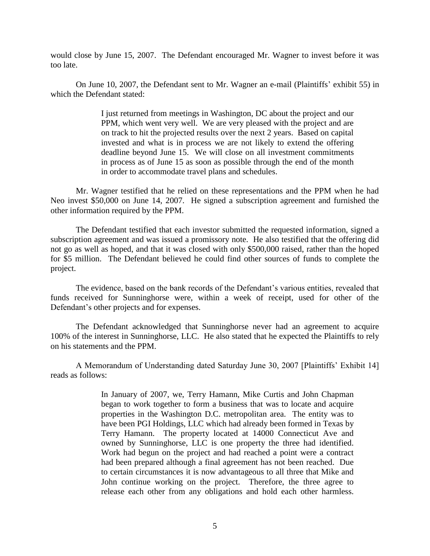would close by June 15, 2007. The Defendant encouraged Mr. Wagner to invest before it was too late.

On June 10, 2007, the Defendant sent to Mr. Wagner an e-mail (Plaintiffs' exhibit 55) in which the Defendant stated:

> I just returned from meetings in Washington, DC about the project and our PPM, which went very well. We are very pleased with the project and are on track to hit the projected results over the next 2 years. Based on capital invested and what is in process we are not likely to extend the offering deadline beyond June 15. We will close on all investment commitments in process as of June 15 as soon as possible through the end of the month in order to accommodate travel plans and schedules.

Mr. Wagner testified that he relied on these representations and the PPM when he had Neo invest \$50,000 on June 14, 2007. He signed a subscription agreement and furnished the other information required by the PPM.

The Defendant testified that each investor submitted the requested information, signed a subscription agreement and was issued a promissory note. He also testified that the offering did not go as well as hoped, and that it was closed with only \$500,000 raised, rather than the hoped for \$5 million. The Defendant believed he could find other sources of funds to complete the project.

The evidence, based on the bank records of the Defendant's various entities, revealed that funds received for Sunninghorse were, within a week of receipt, used for other of the Defendant's other projects and for expenses.

The Defendant acknowledged that Sunninghorse never had an agreement to acquire 100% of the interest in Sunninghorse, LLC. He also stated that he expected the Plaintiffs to rely on his statements and the PPM.

A Memorandum of Understanding dated Saturday June 30, 2007 [Plaintiffs' Exhibit 14] reads as follows:

> In January of 2007, we, Terry Hamann, Mike Curtis and John Chapman began to work together to form a business that was to locate and acquire properties in the Washington D.C. metropolitan area. The entity was to have been PGI Holdings, LLC which had already been formed in Texas by Terry Hamann. The property located at 14000 Connecticut Ave and owned by Sunninghorse, LLC is one property the three had identified. Work had begun on the project and had reached a point were a contract had been prepared although a final agreement has not been reached. Due to certain circumstances it is now advantageous to all three that Mike and John continue working on the project. Therefore, the three agree to release each other from any obligations and hold each other harmless.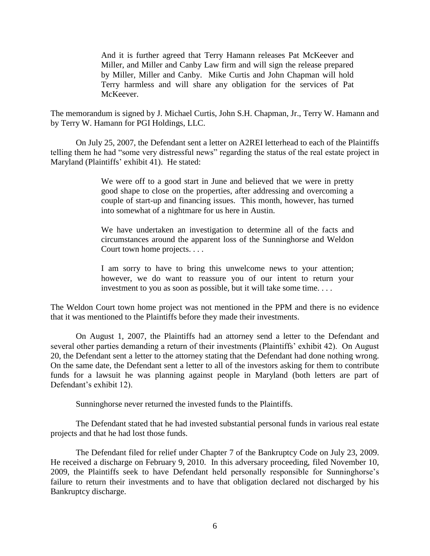And it is further agreed that Terry Hamann releases Pat McKeever and Miller, and Miller and Canby Law firm and will sign the release prepared by Miller, Miller and Canby. Mike Curtis and John Chapman will hold Terry harmless and will share any obligation for the services of Pat McKeever.

The memorandum is signed by J. Michael Curtis, John S.H. Chapman, Jr., Terry W. Hamann and by Terry W. Hamann for PGI Holdings, LLC.

On July 25, 2007, the Defendant sent a letter on A2REI letterhead to each of the Plaintiffs telling them he had "some very distressful news" regarding the status of the real estate project in Maryland (Plaintiffs' exhibit 41). He stated:

> We were off to a good start in June and believed that we were in pretty good shape to close on the properties, after addressing and overcoming a couple of start-up and financing issues. This month, however, has turned into somewhat of a nightmare for us here in Austin.

> We have undertaken an investigation to determine all of the facts and circumstances around the apparent loss of the Sunninghorse and Weldon Court town home projects. . . .

> I am sorry to have to bring this unwelcome news to your attention; however, we do want to reassure you of our intent to return your investment to you as soon as possible, but it will take some time. . . .

The Weldon Court town home project was not mentioned in the PPM and there is no evidence that it was mentioned to the Plaintiffs before they made their investments.

On August 1, 2007, the Plaintiffs had an attorney send a letter to the Defendant and several other parties demanding a return of their investments (Plaintiffs' exhibit 42). On August 20, the Defendant sent a letter to the attorney stating that the Defendant had done nothing wrong. On the same date, the Defendant sent a letter to all of the investors asking for them to contribute funds for a lawsuit he was planning against people in Maryland (both letters are part of Defendant's exhibit 12).

Sunninghorse never returned the invested funds to the Plaintiffs.

The Defendant stated that he had invested substantial personal funds in various real estate projects and that he had lost those funds.

The Defendant filed for relief under Chapter 7 of the Bankruptcy Code on July 23, 2009. He received a discharge on February 9, 2010. In this adversary proceeding, filed November 10, 2009, the Plaintiffs seek to have Defendant held personally responsible for Sunninghorse's failure to return their investments and to have that obligation declared not discharged by his Bankruptcy discharge.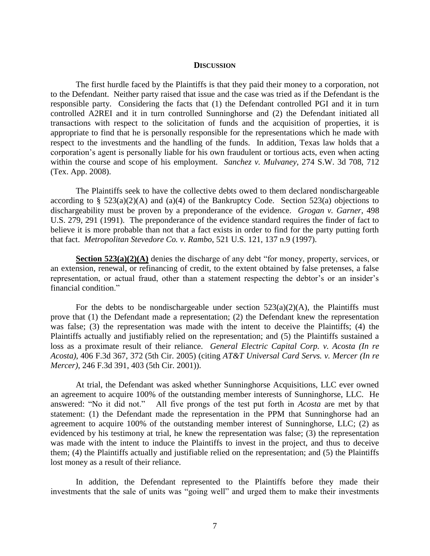#### **DISCUSSION**

The first hurdle faced by the Plaintiffs is that they paid their money to a corporation, not to the Defendant. Neither party raised that issue and the case was tried as if the Defendant is the responsible party. Considering the facts that (1) the Defendant controlled PGI and it in turn controlled A2REI and it in turn controlled Sunninghorse and (2) the Defendant initiated all transactions with respect to the solicitation of funds and the acquisition of properties, it is appropriate to find that he is personally responsible for the representations which he made with respect to the investments and the handling of the funds. In addition, Texas law holds that a corporation's agent is personally liable for his own fraudulent or tortious acts, even when acting within the course and scope of his employment. *Sanchez v. Mulvaney*, 274 S.W. 3d 708, 712 (Tex. App. 2008).

The Plaintiffs seek to have the collective debts owed to them declared nondischargeable according to §  $523(a)(2)(A)$  and  $(a)(4)$  of the Bankruptcy Code. Section 523(a) objections to dischargeability must be proven by a preponderance of the evidence. *Grogan v. Garner*, 498 U.S. 279, 291 (1991). The preponderance of the evidence standard requires the finder of fact to believe it is more probable than not that a fact exists in order to find for the party putting forth that fact. *Metropolitan Stevedore Co. v. Rambo*, 521 U.S. 121, 137 n.9 (1997).

**Section 523(a)(2)(A)** denies the discharge of any debt "for money, property, services, or an extension, renewal, or refinancing of credit, to the extent obtained by false pretenses, a false representation, or actual fraud, other than a statement respecting the debtor's or an insider's financial condition."

For the debts to be nondischargeable under section  $523(a)(2)(A)$ , the Plaintiffs must prove that (1) the Defendant made a representation; (2) the Defendant knew the representation was false; (3) the representation was made with the intent to deceive the Plaintiffs; (4) the Plaintiffs actually and justifiably relied on the representation; and (5) the Plaintiffs sustained a loss as a proximate result of their reliance. *General Electric Capital Corp. v. Acosta (In re Acosta)*, 406 F.3d 367, 372 (5th Cir. 2005) (citing *AT&T Universal Card Servs. v. Mercer (In re Mercer)*, 246 F.3d 391, 403 (5th Cir. 2001)).

At trial, the Defendant was asked whether Sunninghorse Acquisitions, LLC ever owned an agreement to acquire 100% of the outstanding member interests of Sunninghorse, LLC. He answered: "No it did not." All five prongs of the test put forth in *Acosta* are met by that All five prongs of the test put forth in *Acosta* are met by that statement: (1) the Defendant made the representation in the PPM that Sunninghorse had an agreement to acquire 100% of the outstanding member interest of Sunninghorse, LLC; (2) as evidenced by his testimony at trial, he knew the representation was false; (3) the representation was made with the intent to induce the Plaintiffs to invest in the project, and thus to deceive them; (4) the Plaintiffs actually and justifiable relied on the representation; and (5) the Plaintiffs lost money as a result of their reliance.

In addition, the Defendant represented to the Plaintiffs before they made their investments that the sale of units was "going well" and urged them to make their investments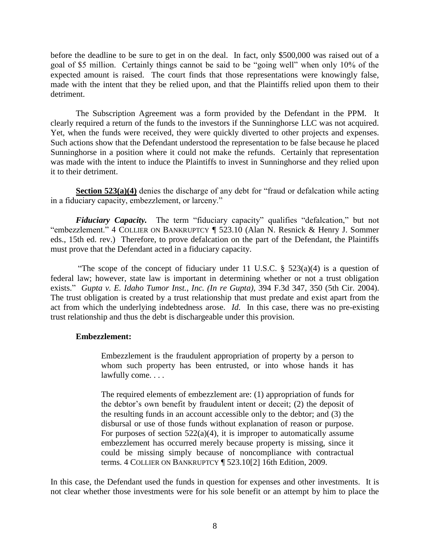before the deadline to be sure to get in on the deal. In fact, only \$500,000 was raised out of a goal of \$5 million. Certainly things cannot be said to be "going well" when only 10% of the expected amount is raised. The court finds that those representations were knowingly false, made with the intent that they be relied upon, and that the Plaintiffs relied upon them to their detriment.

The Subscription Agreement was a form provided by the Defendant in the PPM. It clearly required a return of the funds to the investors if the Sunninghorse LLC was not acquired. Yet, when the funds were received, they were quickly diverted to other projects and expenses. Such actions show that the Defendant understood the representation to be false because he placed Sunninghorse in a position where it could not make the refunds. Certainly that representation was made with the intent to induce the Plaintiffs to invest in Sunninghorse and they relied upon it to their detriment.

**Section 523(a)(4)** denies the discharge of any debt for "fraud or defalcation while acting in a fiduciary capacity, embezzlement, or larceny."

*Fiduciary Capacity*. The term "fiduciary capacity" qualifies "defalcation," but not "embezzlement." 4 COLLIER ON BANKRUPTCY ¶ 523.10 (Alan N. Resnick & Henry J. Sommer eds., 15th ed. rev.) Therefore, to prove defalcation on the part of the Defendant, the Plaintiffs must prove that the Defendant acted in a fiduciary capacity.

"The scope of the concept of fiduciary under 11 U.S.C.  $\S$  523(a)(4) is a question of federal law; however, state law is important in determining whether or not a trust obligation exists." *Gupta v. E. Idaho Tumor Inst., Inc. (In re Gupta)*, 394 F.3d 347, 350 (5th Cir. 2004). The trust obligation is created by a trust relationship that must predate and exist apart from the act from which the underlying indebtedness arose. *Id.* In this case, there was no pre-existing trust relationship and thus the debt is dischargeable under this provision.

### **Embezzlement:**

Embezzlement is the fraudulent appropriation of property by a person to whom such property has been entrusted, or into whose hands it has lawfully come. . . .

The required elements of embezzlement are: (1) appropriation of funds for the debtor's own benefit by fraudulent intent or deceit; (2) the deposit of the resulting funds in an account accessible only to the debtor; and (3) the disbursal or use of those funds without explanation of reason or purpose. For purposes of section  $522(a)(4)$ , it is improper to automatically assume embezzlement has occurred merely because property is missing, since it could be missing simply because of noncompliance with contractual terms. 4 COLLIER ON BANKRUPTCY ¶ 523.10[2] 16th Edition, 2009.

In this case, the Defendant used the funds in question for expenses and other investments. It is not clear whether those investments were for his sole benefit or an attempt by him to place the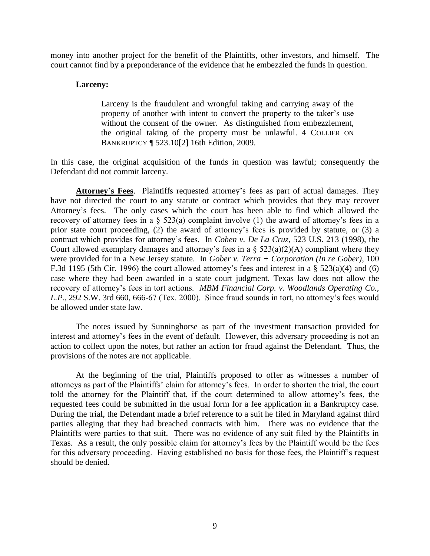money into another project for the benefit of the Plaintiffs, other investors, and himself. The court cannot find by a preponderance of the evidence that he embezzled the funds in question.

### **Larceny:**

Larceny is the fraudulent and wrongful taking and carrying away of the property of another with intent to convert the property to the taker's use without the consent of the owner. As distinguished from embezzlement, the original taking of the property must be unlawful. 4 COLLIER ON BANKRUPTCY ¶ 523.10[2] 16th Edition, 2009.

In this case, the original acquisition of the funds in question was lawful; consequently the Defendant did not commit larceny.

**Attorney's Fees**. Plaintiffs requested attorney's fees as part of actual damages. They have not directed the court to any statute or contract which provides that they may recover Attorney's fees. The only cases which the court has been able to find which allowed the recovery of attorney fees in a § 523(a) complaint involve (1) the award of attorney's fees in a prior state court proceeding, (2) the award of attorney's fees is provided by statute, or (3) a contract which provides for attorney's fees. In *Cohen v. De La Cruz*, 523 U.S. 213 (1998), the Court allowed exemplary damages and attorney's fees in a  $\S$  523(a)(2)(A) compliant where they were provided for in a New Jersey statute. In *Gober v. Terra + Corporation (In re Gober),* 100 F.3d 1195 (5th Cir. 1996) the court allowed attorney's fees and interest in a § 523(a)(4) and (6) case where they had been awarded in a state court judgment. Texas law does not allow the recovery of attorney's fees in tort actions. *MBM Financial Corp. v. Woodlands Operating Co., L.P.,* 292 S.W. 3rd 660, 666-67 (Tex. 2000). Since fraud sounds in tort, no attorney's fees would be allowed under state law.

The notes issued by Sunninghorse as part of the investment transaction provided for interest and attorney's fees in the event of default. However, this adversary proceeding is not an action to collect upon the notes, but rather an action for fraud against the Defendant. Thus, the provisions of the notes are not applicable.

At the beginning of the trial, Plaintiffs proposed to offer as witnesses a number of attorneys as part of the Plaintiffs' claim for attorney's fees. In order to shorten the trial, the court told the attorney for the Plaintiff that, if the court determined to allow attorney's fees, the requested fees could be submitted in the usual form for a fee application in a Bankruptcy case. During the trial, the Defendant made a brief reference to a suit he filed in Maryland against third parties alleging that they had breached contracts with him. There was no evidence that the Plaintiffs were parties to that suit. There was no evidence of any suit filed by the Plaintiffs in Texas. As a result, the only possible claim for attorney's fees by the Plaintiff would be the fees for this adversary proceeding. Having established no basis for those fees, the Plaintiff's request should be denied.